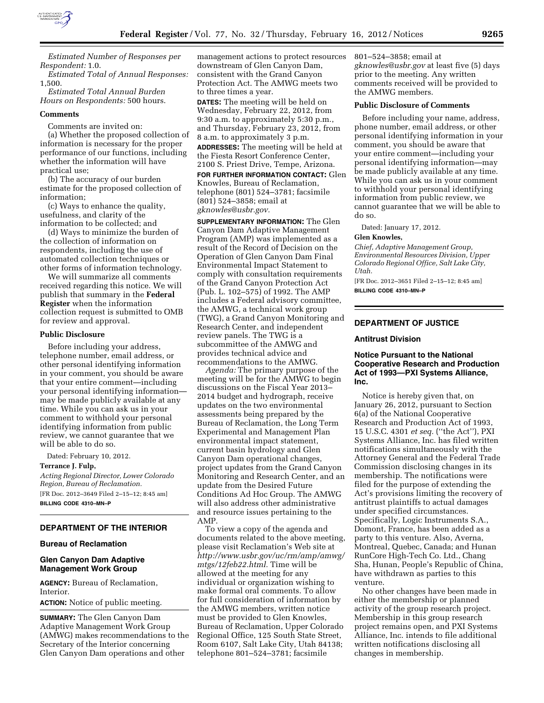

*Estimated Number of Responses per Respondent:* 1.0.

*Estimated Total of Annual Responses:*  1,500.

*Estimated Total Annual Burden Hours on Respondents:* 500 hours.

#### **Comments**

Comments are invited on:

(a) Whether the proposed collection of information is necessary for the proper performance of our functions, including whether the information will have practical use;

(b) The accuracy of our burden estimate for the proposed collection of information;

(c) Ways to enhance the quality, usefulness, and clarity of the information to be collected; and

(d) Ways to minimize the burden of the collection of information on respondents, including the use of automated collection techniques or other forms of information technology.

We will summarize all comments received regarding this notice. We will publish that summary in the **Federal Register** when the information collection request is submitted to OMB for review and approval.

#### **Public Disclosure**

Before including your address, telephone number, email address, or other personal identifying information in your comment, you should be aware that your entire comment—including your personal identifying information may be made publicly available at any time. While you can ask us in your comment to withhold your personal identifying information from public review, we cannot guarantee that we will be able to do so.

Dated: February 10, 2012.

### **Terrance J. Fulp,**

*Acting Regional Director, Lower Colorado Region, Bureau of Reclamation.*  [FR Doc. 2012–3649 Filed 2–15–12; 8:45 am]

**BILLING CODE 4310–MN–P** 

# **DEPARTMENT OF THE INTERIOR**

### **Bureau of Reclamation**

## **Glen Canyon Dam Adaptive Management Work Group**

**AGENCY:** Bureau of Reclamation, Interior.

**ACTION:** Notice of public meeting.

**SUMMARY:** The Glen Canyon Dam Adaptive Management Work Group (AMWG) makes recommendations to the Secretary of the Interior concerning Glen Canyon Dam operations and other

management actions to protect resources downstream of Glen Canyon Dam, consistent with the Grand Canyon Protection Act. The AMWG meets two to three times a year.

**DATES:** The meeting will be held on Wednesday, February 22, 2012, from 9:30 a.m. to approximately 5:30 p.m., and Thursday, February 23, 2012, from 8 a.m. to approximately 3 p.m. **ADDRESSES:** The meeting will be held at the Fiesta Resort Conference Center, 2100 S. Priest Drive, Tempe, Arizona.

**FOR FURTHER INFORMATION CONTACT:** Glen Knowles, Bureau of Reclamation, telephone (801) 524–3781; facsimile (801) 524–3858; email at *[gknowles@usbr.gov.](mailto:gknowles@usbr.gov)* 

**SUPPLEMENTARY INFORMATION:** The Glen Canyon Dam Adaptive Management Program (AMP) was implemented as a result of the Record of Decision on the Operation of Glen Canyon Dam Final Environmental Impact Statement to comply with consultation requirements of the Grand Canyon Protection Act (Pub. L. 102–575) of 1992. The AMP includes a Federal advisory committee, the AMWG, a technical work group (TWG), a Grand Canyon Monitoring and Research Center, and independent review panels. The TWG is a subcommittee of the AMWG and provides technical advice and recommendations to the AMWG.

*Agenda:* The primary purpose of the meeting will be for the AMWG to begin discussions on the Fiscal Year 2013– 2014 budget and hydrograph, receive updates on the two environmental assessments being prepared by the Bureau of Reclamation, the Long Term Experimental and Management Plan environmental impact statement, current basin hydrology and Glen Canyon Dam operational changes, project updates from the Grand Canyon Monitoring and Research Center, and an update from the Desired Future Conditions Ad Hoc Group. The AMWG will also address other administrative and resource issues pertaining to the AMP.

To view a copy of the agenda and documents related to the above meeting, please visit Reclamation's Web site at *[http://www.usbr.gov/uc/rm/amp/amwg/](http://www.usbr.gov/uc/rm/amp/amwg/mtgs/12feb22.html) [mtgs/12feb22.html.](http://www.usbr.gov/uc/rm/amp/amwg/mtgs/12feb22.html)* Time will be allowed at the meeting for any individual or organization wishing to make formal oral comments. To allow for full consideration of information by the AMWG members, written notice must be provided to Glen Knowles, Bureau of Reclamation, Upper Colorado Regional Office, 125 South State Street, Room 6107, Salt Lake City, Utah 84138; telephone 801–524–3781; facsimile

801–524–3858; email at *[gknowles@usbr.gov](mailto:gknowles@usbr.gov)* at least five (5) days prior to the meeting. Any written comments received will be provided to the AMWG members.

# **Public Disclosure of Comments**

Before including your name, address, phone number, email address, or other personal identifying information in your comment, you should be aware that your entire comment—including your personal identifying information—may be made publicly available at any time. While you can ask us in your comment to withhold your personal identifying information from public review, we cannot guarantee that we will be able to do so.

Dated: January 17, 2012*.* 

### **Glen Knowles,**

*Chief, Adaptive Management Group, Environmental Resources Division, Upper Colorado Regional Office, Salt Lake City, Utah.* 

[FR Doc. 2012–3651 Filed 2–15–12; 8:45 am]

**BILLING CODE 4310–MN–P** 

## **DEPARTMENT OF JUSTICE**

#### **Antitrust Division**

### **Notice Pursuant to the National Cooperative Research and Production Act of 1993—PXI Systems Alliance, Inc.**

Notice is hereby given that, on January 26, 2012, pursuant to Section 6(a) of the National Cooperative Research and Production Act of 1993, 15 U.S.C. 4301 *et seq.* (''the Act''), PXI Systems Alliance, Inc. has filed written notifications simultaneously with the Attorney General and the Federal Trade Commission disclosing changes in its membership. The notifications were filed for the purpose of extending the Act's provisions limiting the recovery of antitrust plaintiffs to actual damages under specified circumstances. Specifically, Logic Instruments S.A., Domont, France, has been added as a party to this venture. Also, Averna, Montreal, Quebec, Canada; and Hunan RunCore High-Tech Co. Ltd., Chang Sha, Hunan, People's Republic of China, have withdrawn as parties to this venture.

No other changes have been made in either the membership or planned activity of the group research project. Membership in this group research project remains open, and PXI Systems Alliance, Inc. intends to file additional written notifications disclosing all changes in membership.